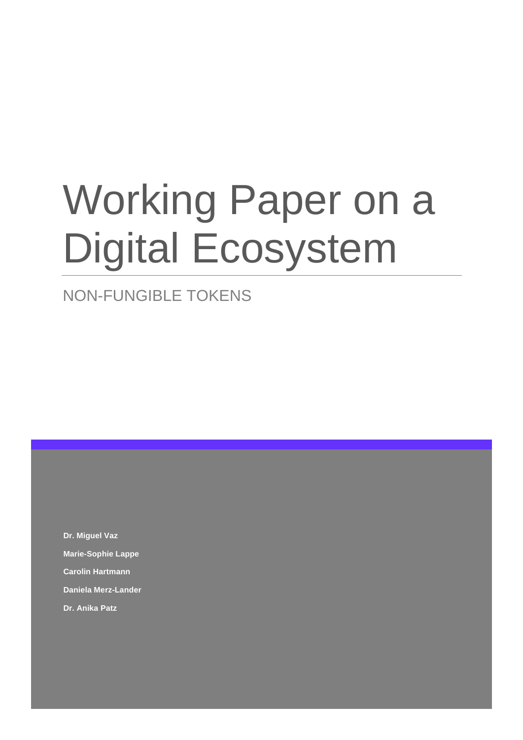# Working Paper on a Digital Ecosystem

### NON-FUNGIBLE TOKENS

**Dr. Miguel Vaz Marie-Sophie Lappe Carolin Hartmann Daniela Merz-Lander Dr. Anika Patz**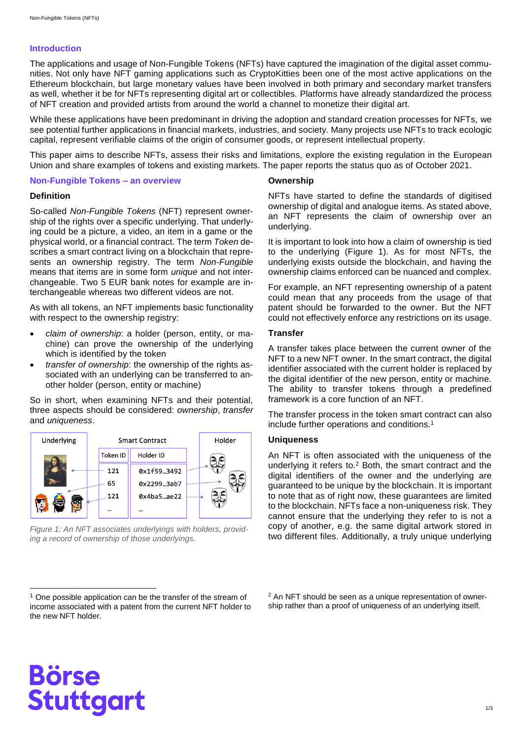#### **Introduction**

The applications and usage of Non-Fungible Tokens (NFTs) have captured the imagination of the digital asset communities. Not only have NFT gaming applications such as CryptoKitties been one of the most active applications on the Ethereum blockchain, but large monetary values have been involved in both primary and secondary market transfers as well, whether it be for NFTs representing digital art or collectibles. Platforms have already standardized the process of NFT creation and provided artists from around the world a channel to monetize their digital art.

While these applications have been predominant in driving the adoption and standard creation processes for NFTs, we see potential further applications in financial markets, industries, and society. Many projects use NFTs to track ecologic capital, represent verifiable claims of the origin of consumer goods, or represent intellectual property.

This paper aims to describe NFTs, assess their risks and limitations, explore the existing regulation in the European Union and share examples of tokens and existing markets. The paper reports the status quo as of October 2021.

#### **Non-Fungible Tokens – an overview**

#### **Definition**

So-called *Non-Fungible Tokens* (NFT) represent ownership of the rights over a specific underlying. That underlying could be a picture, a video, an item in a game or the physical world, or a financial contract. The term *Token* describes a smart contract living on a blockchain that represents an ownership registry. The term *Non-Fungible* means that items are in some form *unique* and not interchangeable. Two 5 EUR bank notes for example are interchangeable whereas two different videos are not.

As with all tokens, an NFT implements basic functionality with respect to the ownership registry:

- *claim of ownership*: a holder (person, entity, or machine) can prove the ownership of the underlying which is identified by the token
- *transfer of ownership*: the ownership of the rights associated with an underlying can be transferred to another holder (person, entity or machine)

So in short, when examining NFTs and their potential, three aspects should be considered: *ownership*, *transfer* and *uniqueness*.



<span id="page-1-0"></span>*Figure 1: An NFT associates underlyings with holders, providing a record of ownership of those underlyings.*

#### **Ownership**

NFTs have started to define the standards of digitised ownership of digital and analogue items. As stated above, an NFT represents the claim of ownership over an underlying.

It is important to look into how a claim of ownership is tied to the underlying [\(Figure](#page-1-0) 1). As for most NFTs, the underlying exists outside the blockchain, and having the ownership claims enforced can be nuanced and complex.

For example, an NFT representing ownership of a patent could mean that any proceeds from the usage of that patent should be forwarded to the owner. But the NFT could not effectively enforce any restrictions on its usage.

#### **Transfer**

A transfer takes place between the current owner of the NFT to a new NFT owner. In the smart contract, the digital identifier associated with the current holder is replaced by the digital identifier of the new person, entity or machine. The ability to transfer tokens through a predefined framework is a core function of an NFT.

The transfer process in the token smart contract can also include further operations and conditions.<sup>1</sup>

#### **Uniqueness**

An NFT is often associated with the uniqueness of the underlying it refers to.<sup>2</sup> Both, the smart contract and the digital identifiers of the owner and the underlying are guaranteed to be unique by the blockchain. It is important to note that as of right now, these guarantees are limited to the blockchain. NFTs face a non-uniqueness risk. They cannot ensure that the underlying they refer to is not a copy of another, e.g. the same digital artwork stored in two different files. Additionally, a truly unique underlying

<sup>2</sup> An NFT should be seen as a unique representation of ownership rather than a proof of uniqueness of an underlying itself.

l

<sup>&</sup>lt;sup>1</sup> One possible application can be the transfer of the stream of income associated with a patent from the current NFT holder to the new NFT holder.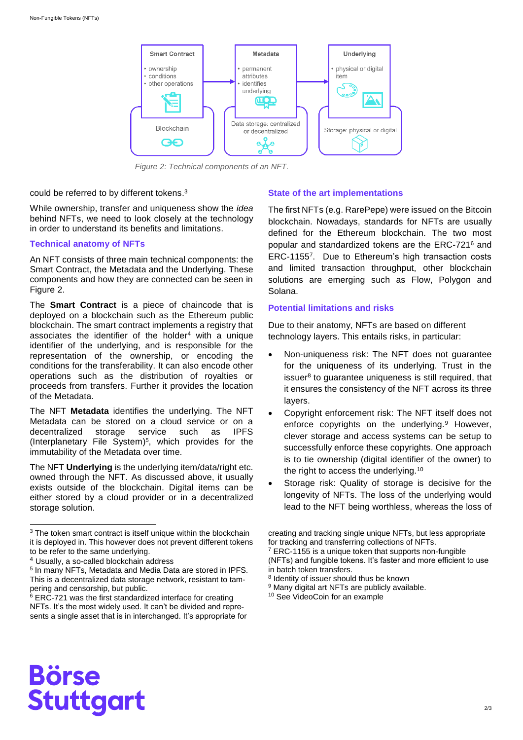

<span id="page-2-0"></span>*Figure 2: Technical components of an NFT.*

could be referred to by different tokens. 3

While ownership, transfer and uniqueness show the *idea* behind NFTs, we need to look closely at the technology in order to understand its benefits and limitations.

#### **Technical anatomy of NFTs**

An NFT consists of three main technical components: the Smart Contract, the Metadata and the Underlying. These components and how they are connected can be seen in [Figure 2.](#page-2-0)

The **Smart Contract** is a piece of chaincode that is deployed on a blockchain such as the Ethereum public blockchain. The smart contract implements a registry that associates the identifier of the holder $4$  with a unique identifier of the underlying, and is responsible for the representation of the ownership, or encoding the conditions for the transferability. It can also encode other operations such as the distribution of royalties or proceeds from transfers. Further it provides the location of the Metadata.

The NFT **Metadata** identifies the underlying. The NFT Metadata can be stored on a cloud service or on a decentralized storage service such as IPFS (Interplanetary File System) 5 , which provides for the immutability of the Metadata over time.

The NFT **Underlying** is the underlying item/data/right etc. owned through the NFT. As discussed above, it usually exists outside of the blockchain. Digital items can be either stored by a cloud provider or in a decentralized storage solution.

l

#### **State of the art implementations**

The first NFTs (e.g. RarePepe) were issued on the Bitcoin blockchain. Nowadays, standards for NFTs are usually defined for the Ethereum blockchain. The two most popular and standardized tokens are the ERC-721<sup>6</sup> and ERC-1155<sup>7</sup> . Due to Ethereum's high transaction costs and limited transaction throughput, other blockchain solutions are emerging such as Flow, Polygon and Solana.

#### **Potential limitations and risks**

Due to their anatomy, NFTs are based on different technology layers. This entails risks, in particular:

- Non-uniqueness risk: The NFT does not guarantee for the uniqueness of its underlying. Trust in the issuer<sup>8</sup> to guarantee uniqueness is still required, that it ensures the consistency of the NFT across its three layers.
- Copyright enforcement risk: The NFT itself does not enforce copyrights on the underlying.<sup>9</sup> However, clever storage and access systems can be setup to successfully enforce these copyrights. One approach is to tie ownership (digital identifier of the owner) to the right to access the underlying.<sup>10</sup>
- Storage risk: Quality of storage is decisive for the longevity of NFTs. The loss of the underlying would lead to the NFT being worthless, whereas the loss of

creating and tracking single unique NFTs, but less appropriate for tracking and transferring collections of NFTs.

<sup>7</sup> ERC-1155 is a unique token that supports non-fungible (NFTs) and fungible tokens. It's faster and more efficient to use in batch token transfers.

<sup>9</sup> Many digital art NFTs are publicly available.

<sup>10</sup> See VideoCoin for an example

## **Börse Stuttgart**

 $3$  The token smart contract is itself unique within the blockchain it is deployed in. This however does not prevent different tokens to be refer to the same underlying.

<sup>4</sup> Usually, a so-called blockchain address

<sup>5</sup> In many NFTs, Metadata and Media Data are stored in IPFS. This is a decentralized data storage network, resistant to tampering and censorship, but public.

 $6$  ERC-721 was the first standardized interface for creating NFTs. It's the most widely used. It can't be divided and represents a single asset that is in interchanged. It's appropriate for

<sup>8</sup> Identity of issuer should thus be known